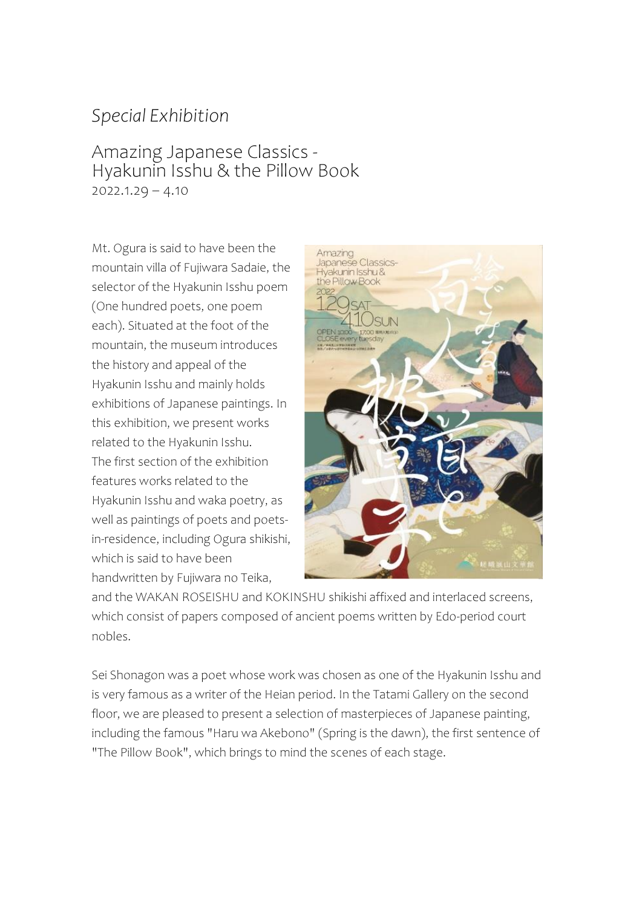## *Special Exhibition*

## Amazing Japanese Classics - Hyakunin Isshu & the Pillow Book  $2022.1.29 - 4.10$

Mt. Ogura is said to have been the mountain villa of Fujiwara Sadaie, the selector of the Hyakunin Isshu poem (One hundred poets, one poem each). Situated at the foot of the mountain, the museum introduces the history and appeal of the Hyakunin Isshu and mainly holds exhibitions of Japanese paintings. In this exhibition, we present works related to the Hyakunin Isshu. The first section of the exhibition features works related to the Hyakunin Isshu and waka poetry, as well as paintings of poets and poetsin-residence, including Ogura shikishi, which is said to have been handwritten by Fujiwara no Teika,



and the WAKAN ROSEISHU and KOKINSHU shikishi affixed and interlaced screens, which consist of papers composed of ancient poems written by Edo-period court nobles.

Sei Shonagon was a poet whose work was chosen as one of the Hyakunin Isshu and is very famous as a writer of the Heian period. In the Tatami Gallery on the second floor, we are pleased to present a selection of masterpieces of Japanese painting, including the famous "Haru wa Akebono" (Spring is the dawn), the first sentence of "The Pillow Book", which brings to mind the scenes of each stage.